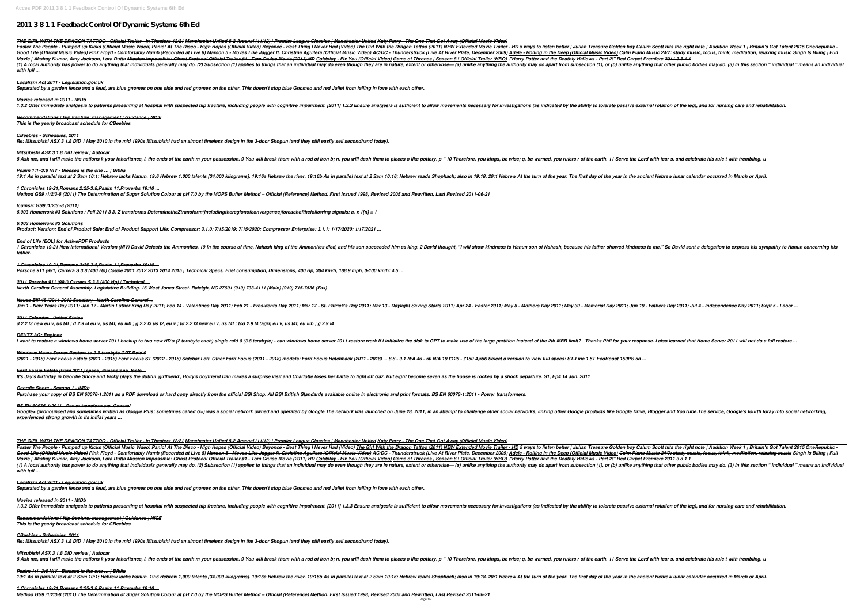# **2011 3 8 1 1 Feedback Control Of Dynamic Systems 6th Ed**

THE GIRL WITH THE DRAGON TATTOO - Official Trailer - In Theaters 12/21 Manchester United 8-2 Arsenal (11/12) | Premier League Classics | Manchester United Katy Perry - The One That Got Away (Official Music Video) Foster The People - Pumped up Kicks (Official Music Video) Panic! At The Disco - High Hopes (Official Video) Beyoncé - Best Thing I Never Had (Video) <u>The Girl With the Dragon Tattoo (2011) NEW Extended Movie Trailer - HD</u> Good Life (Official Music Video) Pink Floyd - Comfortably Numb (Recorded at Live 8) Maroon 5 - Moves Like Jagger ft. Christina Aguilera (Official Music Video) Ac/DC - Thunderstruck (Live At River Plate, December 2009) Adel Movie / Akshay Kumar, Amy Jackson, Lara Dutta <del>Mission Impossible: Ghost Protocol Official Trailer #1 - Tom Cruise Movie (2011) HD Coldplay - Fix You (Official Trailer (HBO) ("Harry Potter and the Deathly Hallows - Part 2\</del> (1) A local authority has power to do anything that individuals generally may do. (2) Subsection (1) applies to things that an individual may do apart from subsection (1), or (b) unlike anything that other public bodies ma *with full ...*

## *Localism Act 2011 - Legislation.gov.uk*

*Separated by a garden fence and a feud, are blue gnomes on one side and red gnomes on the other. This doesn't stop blue Gnomeo and red Juliet from falling in love with each other.*

## *Movies released in 2011 - IMDb*

1.3.2 Offer immediate analgesia to patients presenting at hospital with suspected hip fracture, including people with cognitive impairment. [2011] 1.3.3 Ensure analgesia is sufficient to allow movements necessary for inves

1 Chronicles 19-21 New International Version (NIV) David Defeats the Ammonites. 19 In the course of time, Nahash king of the Ammonites died, and his son succeeded him as king. 2 David thought, "I will show kindness to me." *father.*

*Recommendations | Hip fracture: management | Guidance | NICE This is the yearly broadcast schedule for CBeebies*

*House Bill 48 (2011-2012 Session) - North Carolina General ...* Jan 1 - New Years Day 2011; Jan 17 - Martin Luther King Day 2011; Feb 14 - Valentines Day 2011; Feb 21 - Presidents Day 2011; Mar 17 - St. Patrick's Day 2011; Mar 13 - Daylight Saving Starts 2011; Mar 13 - Daylight Saving

## *CBeebies - Schedules, 2011*

*Re: Mitsubishi ASX 3 1.8 DiD 1 May 2010 In the mid 1990s Mitsubishi had an almost timeless design in the 3-door Shogun (and they still easily sell secondhand today).*

## *Mitsubishi ASX 3 1.8 DiD review | Autocar*

8 Ask me, and I will make the nations k your inheritance, I. the ends of the earth m your possession. 9 You will break them with a rod of iron b; n. you will dash them to pieces o like pottery. p "10 Therefore, you rulers

## *Psalm 1:1–3:8 NIV - Blessed is the one … | Biblia*

19:1 As in parallel text at 2 Sam 10:1; Hebrew lacks Hanun. 19:6 Hebrew 1,000 talents [34,000 kilograms]. 19:16a Hebrew the river. 19:16b As in parallel text at 2 Sam 10:16; Hebrew At the turn of the year. The first day of

*1 Chronicles 19-21,Romans 2:25-3:8,Psalm 11,Proverbs 19:10 ... Method GS9 /1/2/3-8 (2011) The Determination of Sugar Solution Colour at pH 7.0 by the MOPS Buffer Method – Official (Reference) Method. First Issued 1998, Revised 2005 and Rewritten, Last Revised 2011-06-21*

Google+ (pronounced and sometimes written as Google Plus; sometimes called G+) was a social network owned and operated by Google. The network was launched on June 28, 2011, in an attempt to challenge other Google Drive, Bl *experienced strong growth in its initial years ...*

## *Icumsa: GS9 /1/2/3 -8 (2011)*

*6.003 Homework #3 Solutions / Fall 2011 3 3. Z transforms DeterminetheZtransform(includingtheregionofconvergence)foreachofthefollowing signals: a. x 1[n] = 1*

## *6.003 Homework #3 Solutions*

*Product: Version: End of Product Sale: End of Product Support Life: Compressor: 3.1.0: 7/15/2019: 7/15/2020: Compressor Enterprise: 3.1.1: 1/17/2020: 1/17/2021 ...*

## *End of Life (EOL) for ActivePDF Products*

THE GIRL WITH THE DRAGON TATTOO - Official Trailer - In Theaters 12/21 Manchester United 8-2 Arsenal (11/12) | Premier League Classics | Manchester United Katy Perry - The One That Got Away (Official Music Video) Foster The People - Pumped up Kicks (Official Music Video) Panic! At The Disco - High Hopes (Official Video) Beyoncé - Best Thing I Never Had (Video) The Girl With the Dragon Tattoo (2011) NEW Extended Movie Trailer - HD 5 Good Life (Official Music Video) Pink Floyd - Comfortably Numb (Recorded at Live 8) Maroon 5 - Moves Like Jagger ft. Christina Aguilera (Official Music Video) AC/DC - Thunderstruck (Live At River Plate, December 2009) <u>Ade</u> Movie / Akshay Kumar, Amy Jackson, Lara Dutta <del>Mission Impossible: Ghost Protocol Official Trailer #1 - Tom Cruise Movie (2011) HD Coldplay - Fix You (Official Trailer (HBO) \"Harry Potter and the Deathly Hallows - Part 2\</del> (1) A local authority has power to do anything that individuals generally may do. (2) Subsection (1) applies to things that an individual may do apart from subsection (1), or (b) unlike anything that other public bodies ma *with full ...*

## *1 Chronicles 19-21,Romans 2:25-3:8,Psalm 11,Proverbs 19:10 ...*

*Porsche 911 (991) Carrera S 3.8 (400 Hp) Coupe 2011 2012 2013 2014 2015 | Technical Specs, Fuel consumption, Dimensions, 400 Hp, 304 km/h, 188.9 mph, 0-100 km/h: 4.5 ...*

*2011 Porsche 911 (991) Carrera S 3.8 (400 Hp) | Technical ... North Carolina General Assembly. Legislative Building. 16 West Jones Street. Raleigh, NC 27601 (919) 733-4111 (Main) (919) 715-7586 (Fax)*

*Psalm 1:1–3:8 NIV - Blessed is the one … | Biblia* 19:1 As in parallel text at 2 Sam 10:1; Hebrew lacks Hanun. 19:6 Hebrew 1,000 talents [34,000 kilograms]. 19:16a Hebrew the river. 19:16b As in parallel text at 2 Sam 10:16; Hebrew At the turn of the year. The first day of

#### *2011 Calendar - United States*

*d 2.2 l3 new eu v, us t4f ; d 2.9 l4 eu v, us t4f, eu iiib ; g 2.2 l3 us t2, eu v ; td 2.2 l3 new eu v, us t4f ; tcd 2.9 l4 (agri) eu v, us t4f, eu iiib ; g 2.9 l4*

#### *DEUTZ AG: Engines*

i want to restore a windows home server 2011 backup to two new HD's (2 terabyte each) single raid 0 (3.8 terabyte) - can windows home server 2011 restore work if i initialize the disk to GPT to make use of the 2tb MBR limi

## *Windows Home Server Restore to 3.8 terabyte GPT Raid 0*

(2011 - 2018) Ford Focus Estate (2011 - 2018) Ford Focus ST (2012 - 2018) Sidebar Left. Other Ford Focus (2011 - 2018) models: Ford Focus Hatchback (2011 - 2018) ... 8.8 - 9.1 N/A 46 - 50 N/A 19 £125 - £150 4,556 Select a

## *Ford Focus Estate (from 2011) specs, dimensions, facts ...*

It's Jay's birthday in Geordie Shore and Vicky plays the dutiful 'girlfriend', Holly's boyfriend Dan makes a surprise visit and Charlotte loses her battle to fight off Gaz. But eight become seven as the house is rocked by

## *Geordie Shore - Season 1 - IMDb*

Purchase your copy of BS EN 60076-1:2011 as a PDF download or hard copy directly from the official BSI Shop. All BSI British Standards available online in electronic and print formats. BS EN 60076-1:2011 - Power transforme

## *BS EN 60076-1:2011 - Power transformers. General*

## *Localism Act 2011 - Legislation.gov.uk*

*Separated by a garden fence and a feud, are blue gnomes on one side and red gnomes on the other. This doesn't stop blue Gnomeo and red Juliet from falling in love with each other.*

## *Movies released in 2011 - IMDb*

1.3.2 Offer immediate analgesia to patients presenting at hospital with suspected hip fracture, including people with cognitive impairment. [2011] 1.3.3 Ensure analgesia is sufficient to allow movements necessary for inves

## *Recommendations | Hip fracture: management | Guidance | NICE This is the yearly broadcast schedule for CBeebies*

## *CBeebies - Schedules, 2011*

*Re: Mitsubishi ASX 3 1.8 DiD 1 May 2010 In the mid 1990s Mitsubishi had an almost timeless design in the 3-door Shogun (and they still easily sell secondhand today).*

## *Mitsubishi ASX 3 1.8 DiD review | Autocar*

8 Ask me, and I will make the nations k your inheritance, I. the ends of the earth m your possession. 9 You will break them with a rod of iron b; n. you will dash them to pieces o like pottery. p "10 Therefore, you rulers

*1 Chronicles 19-21,Romans 2:25-3:8,Psalm 11,Proverbs 19:10 ... Method GS9 /1/2/3-8 (2011) The Determination of Sugar Solution Colour at pH 7.0 by the MOPS Buffer Method – Official (Reference) Method. First Issued 1998, Revised 2005 and Rewritten, Last Revised 2011-06-21*